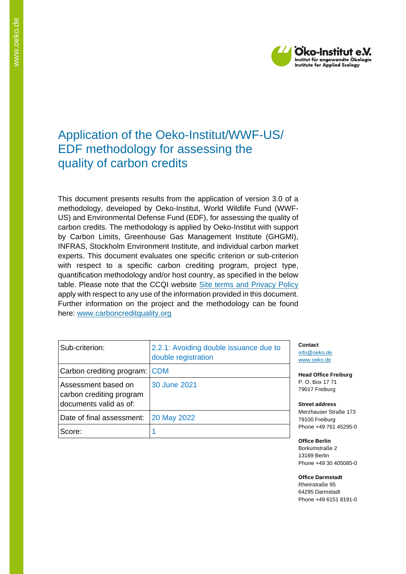

# Application of the Oeko-Institut/WWF-US/ EDF methodology for assessing the quality of carbon credits

This document presents results from the application of version 3.0 of a methodology, developed by Oeko-Institut, World Wildlife Fund (WWF-US) and Environmental Defense Fund (EDF), for assessing the quality of carbon credits. The methodology is applied by Oeko-Institut with support by Carbon Limits, Greenhouse Gas Management Institute (GHGMI), INFRAS, Stockholm Environment Institute, and individual carbon market experts. This document evaluates one specific criterion or sub-criterion with respect to a specific carbon crediting program, project type, quantification methodology and/or host country, as specified in the below table. Please note that the CCQI website [Site terms and Privacy Policy](https://carboncreditquality.org/terms.html) apply with respect to any use of the information provided in this document. Further information on the project and the methodology can be found here: [www.carboncreditquality.org](http://www.carboncreditquality.org/)

| Sub-criterion:                                                            | 2.2.1: Avoiding double issuance due to<br>double registration |
|---------------------------------------------------------------------------|---------------------------------------------------------------|
| Carbon crediting program: CDM                                             |                                                               |
| Assessment based on<br>carbon crediting program<br>documents valid as of: | 30 June 2021                                                  |
| Date of final assessment:                                                 | 20 May 2022                                                   |
| Score:                                                                    |                                                               |

**Contact** [info@oeko.de](mailto:info@oeko.de) [www.oeko.de](http://www.oeko.de/)

**Head Office Freiburg** P. O. Box 17 71 79017 Freiburg

**Street address** Merzhauser Straße 173 79100 Freiburg Phone +49 761 45295-0

**Office Berlin** Borkumstraße 2 13189 Berlin Phone +49 30 405085-0

**Office Darmstadt** Rheinstraße 95 64295 Darmstadt Phone +49 6151 8191-0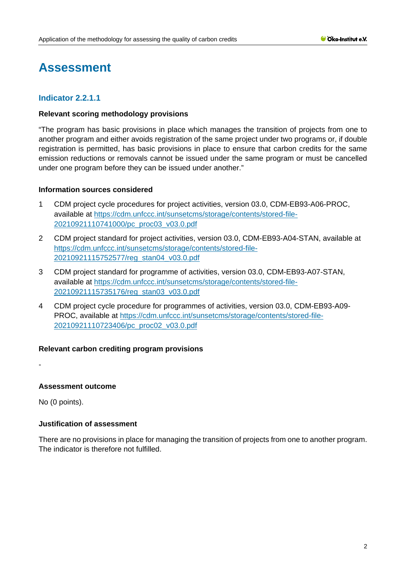# **Assessment**

# **Indicator 2.2.1.1**

# **Relevant scoring methodology provisions**

"The program has basic provisions in place which manages the transition of projects from one to another program and either avoids registration of the same project under two programs or, if double registration is permitted, has basic provisions in place to ensure that carbon credits for the same emission reductions or removals cannot be issued under the same program or must be cancelled under one program before they can be issued under another."

#### **Information sources considered**

- 1 CDM project cycle procedures for project activities, version 03.0, CDM-EB93-A06-PROC, available at [https://cdm.unfccc.int/sunsetcms/storage/contents/stored-file-](https://cdm.unfccc.int/sunsetcms/storage/contents/stored-file-20210921110741000/pc_proc03_v03.0.pdf)[20210921110741000/pc\\_proc03\\_v03.0.pdf](https://cdm.unfccc.int/sunsetcms/storage/contents/stored-file-20210921110741000/pc_proc03_v03.0.pdf)
- 2 CDM project standard for project activities, version 03.0, CDM-EB93-A04-STAN, available at [https://cdm.unfccc.int/sunsetcms/storage/contents/stored-file-](https://cdm.unfccc.int/sunsetcms/storage/contents/stored-file-20210921115752577/reg_stan04_v03.0.pdf)[20210921115752577/reg\\_stan04\\_v03.0.pdf](https://cdm.unfccc.int/sunsetcms/storage/contents/stored-file-20210921115752577/reg_stan04_v03.0.pdf)
- 3 CDM project standard for programme of activities, version 03.0, CDM-EB93-A07-STAN, available at [https://cdm.unfccc.int/sunsetcms/storage/contents/stored-file-](https://cdm.unfccc.int/sunsetcms/storage/contents/stored-file-20210921115735176/reg_stan03_v03.0.pdf)[20210921115735176/reg\\_stan03\\_v03.0.pdf](https://cdm.unfccc.int/sunsetcms/storage/contents/stored-file-20210921115735176/reg_stan03_v03.0.pdf)
- 4 CDM project cycle procedure for programmes of activities, version 03.0, CDM-EB93-A09- PROC, available at [https://cdm.unfccc.int/sunsetcms/storage/contents/stored-file-](https://cdm.unfccc.int/sunsetcms/storage/contents/stored-file-20210921110723406/pc_proc02_v03.0.pdf)[20210921110723406/pc\\_proc02\\_v03.0.pdf](https://cdm.unfccc.int/sunsetcms/storage/contents/stored-file-20210921110723406/pc_proc02_v03.0.pdf)

# **Relevant carbon crediting program provisions**

-

# **Assessment outcome**

No (0 points).

# **Justification of assessment**

There are no provisions in place for managing the transition of projects from one to another program. The indicator is therefore not fulfilled.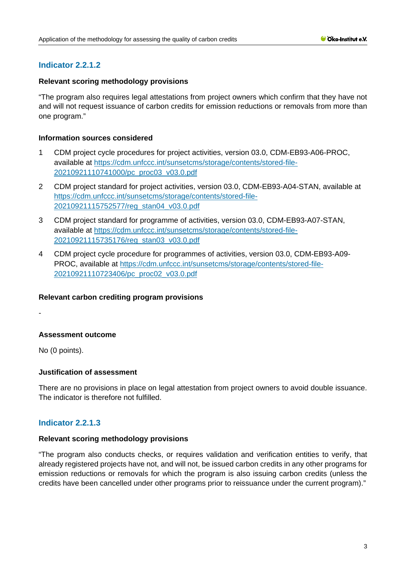# **Indicator 2.2.1.2**

# **Relevant scoring methodology provisions**

"The program also requires legal attestations from project owners which confirm that they have not and will not request issuance of carbon credits for emission reductions or removals from more than one program."

### **Information sources considered**

- 1 CDM project cycle procedures for project activities, version 03.0, CDM-EB93-A06-PROC, available at [https://cdm.unfccc.int/sunsetcms/storage/contents/stored-file-](https://cdm.unfccc.int/sunsetcms/storage/contents/stored-file-20210921110741000/pc_proc03_v03.0.pdf)[20210921110741000/pc\\_proc03\\_v03.0.pdf](https://cdm.unfccc.int/sunsetcms/storage/contents/stored-file-20210921110741000/pc_proc03_v03.0.pdf)
- 2 CDM project standard for project activities, version 03.0, CDM-EB93-A04-STAN, available at [https://cdm.unfccc.int/sunsetcms/storage/contents/stored-file-](https://cdm.unfccc.int/sunsetcms/storage/contents/stored-file-20210921115752577/reg_stan04_v03.0.pdf)[20210921115752577/reg\\_stan04\\_v03.0.pdf](https://cdm.unfccc.int/sunsetcms/storage/contents/stored-file-20210921115752577/reg_stan04_v03.0.pdf)
- 3 CDM project standard for programme of activities, version 03.0, CDM-EB93-A07-STAN, available at [https://cdm.unfccc.int/sunsetcms/storage/contents/stored-file-](https://cdm.unfccc.int/sunsetcms/storage/contents/stored-file-20210921115735176/reg_stan03_v03.0.pdf)[20210921115735176/reg\\_stan03\\_v03.0.pdf](https://cdm.unfccc.int/sunsetcms/storage/contents/stored-file-20210921115735176/reg_stan03_v03.0.pdf)
- 4 CDM project cycle procedure for programmes of activities, version 03.0, CDM-EB93-A09- PROC, available at [https://cdm.unfccc.int/sunsetcms/storage/contents/stored-file-](https://cdm.unfccc.int/sunsetcms/storage/contents/stored-file-20210921110723406/pc_proc02_v03.0.pdf)[20210921110723406/pc\\_proc02\\_v03.0.pdf](https://cdm.unfccc.int/sunsetcms/storage/contents/stored-file-20210921110723406/pc_proc02_v03.0.pdf)

#### **Relevant carbon crediting program provisions**

-

# **Assessment outcome**

No (0 points).

# **Justification of assessment**

There are no provisions in place on legal attestation from project owners to avoid double issuance. The indicator is therefore not fulfilled.

# **Indicator 2.2.1.3**

#### **Relevant scoring methodology provisions**

"The program also conducts checks, or requires validation and verification entities to verify, that already registered projects have not, and will not, be issued carbon credits in any other programs for emission reductions or removals for which the program is also issuing carbon credits (unless the credits have been cancelled under other programs prior to reissuance under the current program)."